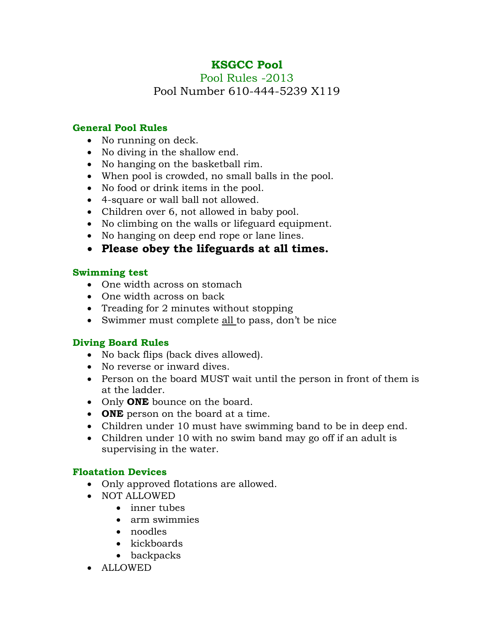# **KSGCC Pool**

Pool Rules -2013 Pool Number 610-444-5239 X119

#### **General Pool Rules**

- No running on deck.
- No diving in the shallow end.
- No hanging on the basketball rim.
- When pool is crowded, no small balls in the pool.
- No food or drink items in the pool.
- 4-square or wall ball not allowed.
- Children over 6, not allowed in baby pool.
- No climbing on the walls or lifeguard equipment.
- No hanging on deep end rope or lane lines.
- **Please obey the lifeguards at all times.**

## **Swimming test**

- One width across on stomach
- One width across on back
- Treading for 2 minutes without stopping
- Swimmer must complete all to pass, don't be nice

#### **Diving Board Rules**

- No back flips (back dives allowed).
- No reverse or inward dives.
- Person on the board MUST wait until the person in front of them is at the ladder.
- Only **ONE** bounce on the board.
- **ONE** person on the board at a time.
- Children under 10 must have swimming band to be in deep end.
- Children under 10 with no swim band may go off if an adult is supervising in the water.

#### **Floatation Devices**

- Only approved flotations are allowed.
- NOT ALLOWED
	- inner tubes
	- arm swimmies
	- noodles
	- kickboards
	- backpacks
- ALLOWED